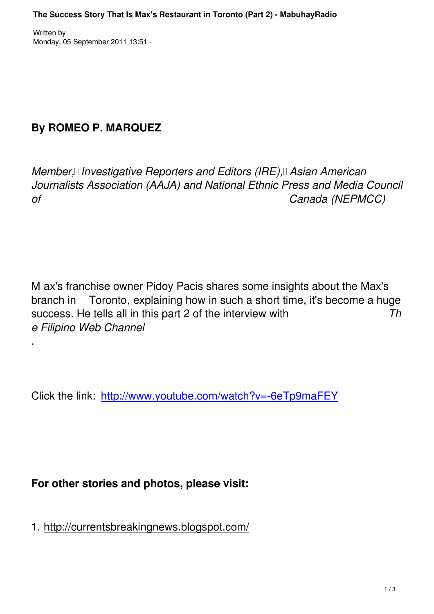Written by

.

## **By ROMEO P. MARQUEZ**

*Member, II Investigative Reporters and Editors (IRE), Asian American Journalists Association (AAJA) and National Ethnic Press and Media Council of Canada (NEPMCC)*

M ax's franchise owner Pidoy Pacis shares some insights about the Max's branch in Toronto, explaining how in such a short time, it's become a huge success. He tells all in this part 2 of the interview with *Th e Filipino Web Channel*

Click the link: http://www.youtube.com/watch?v=-6eTp9maFEY

## **For other stories and photos, please visit:**

1. http://currentsbreakingnews.blogspot.com/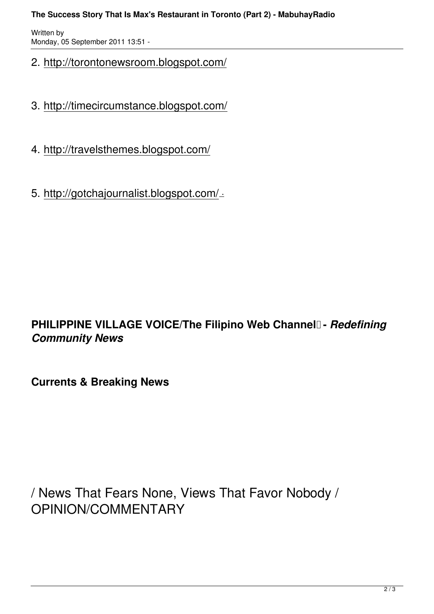## **The Success Story That Is Max's Restaurant in Toronto (Part 2) - MabuhayRadio**

Written by Monday, 05 September 2011 13:51 -

- 2. http://torontonewsroom.blogspot.com/
- 3. http://timecircumstance.blogspot.com/
- 4. http://travelsthemes.blogspot.com/
- 5. http://gotchajournalist.blogspot.com/ .

## **PHILIPPINE VILLAGE VOICE/The Filipino Web Channel - Redefining** *Community News*

**Currents & Breaking News** 

/ News That Fears None, Views That Favor Nobody / OPINION/COMMENTARY